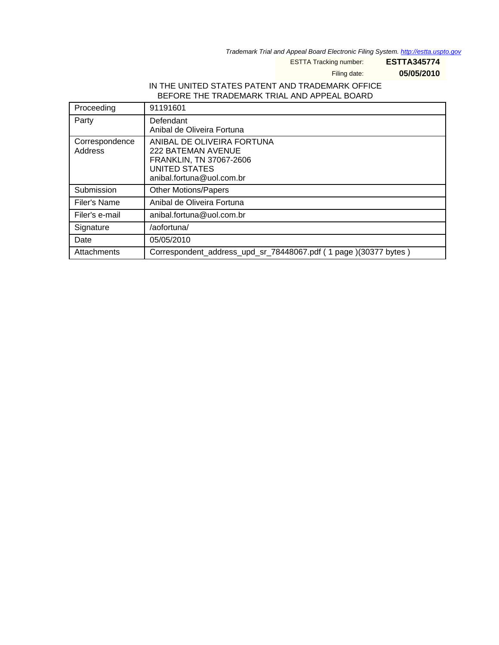Trademark Trial and Appeal Board Electronic Filing System. http://estta.uspto.gov

ESTTA Tracking number: **ESTTA345774**

Filing date: **05/05/2010**

## IN THE UNITED STATES PATENT AND TRADEMARK OFFICE BEFORE THE TRADEMARK TRIAL AND APPEAL BOARD

| Proceeding                | 91191601                                                                                                                  |
|---------------------------|---------------------------------------------------------------------------------------------------------------------------|
| Party                     | Defendant<br>Anibal de Oliveira Fortuna                                                                                   |
| Correspondence<br>Address | ANIBAL DE OLIVEIRA FORTUNA<br>222 BATEMAN AVENUE<br>FRANKLIN, TN 37067-2606<br>UNITED STATES<br>anibal.fortuna@uol.com.br |
| Submission                | <b>Other Motions/Papers</b>                                                                                               |
| <b>Filer's Name</b>       | Anibal de Oliveira Fortuna                                                                                                |
| Filer's e-mail            | anibal.fortuna@uol.com.br                                                                                                 |
| Signature                 | /aofortuna/                                                                                                               |
| Date                      | 05/05/2010                                                                                                                |
| Attachments               | Correspondent address upd sr 78448067.pdf (1 page) (30377 bytes)                                                          |